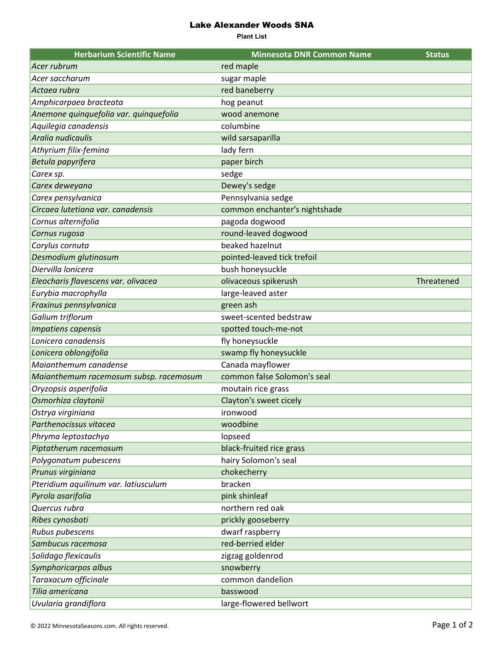## Lake Alexander Woods SNA

**Plant List**

| <b>Herbarium Scientific Name</b>       | <b>Minnesota DNR Common Name</b> | <b>Status</b> |
|----------------------------------------|----------------------------------|---------------|
| Acer rubrum                            | red maple                        |               |
| Acer saccharum                         | sugar maple                      |               |
| Actaea rubra                           | red baneberry                    |               |
| Amphicarpaea bracteata                 | hog peanut                       |               |
| Anemone quinquefolia var. quinquefolia | wood anemone                     |               |
| Aquilegia canadensis                   | columbine                        |               |
| Aralia nudicaulis                      | wild sarsaparilla                |               |
| Athyrium filix-femina                  | lady fern                        |               |
| Betula papyrifera                      | paper birch                      |               |
| Carex sp.                              | sedge                            |               |
| Carex deweyana                         | Dewey's sedge                    |               |
| Carex pensylvanica                     | Pennsylvania sedge               |               |
| Circaea lutetiana var. canadensis      | common enchanter's nightshade    |               |
| Cornus alternifolia                    | pagoda dogwood                   |               |
| Cornus rugosa                          | round-leaved dogwood             |               |
| Corylus cornuta                        | beaked hazelnut                  |               |
| Desmodium glutinosum                   | pointed-leaved tick trefoil      |               |
| Diervilla lonicera                     | bush honeysuckle                 |               |
| Eleocharis flavescens var. olivacea    | olivaceous spikerush             | Threatened    |
| Eurybia macrophylla                    | large-leaved aster               |               |
| Fraxinus pennsylvanica                 | green ash                        |               |
| Galium triflorum                       | sweet-scented bedstraw           |               |
| Impatiens capensis                     | spotted touch-me-not             |               |
| Lonicera canadensis                    | fly honeysuckle                  |               |
| Lonicera oblongifolia                  | swamp fly honeysuckle            |               |
| Maianthemum canadense                  | Canada mayflower                 |               |
| Maianthemum racemosum subsp. racemosum | common false Solomon's seal      |               |
| Oryzopsis asperifolia                  | moutain rice grass               |               |
| Osmorhiza claytonii                    | Clayton's sweet cicely           |               |
| Ostrya virginiana                      | ironwood                         |               |
| Parthenocissus vitacea                 | woodbine                         |               |
| Phryma leptostachya                    | lopseed                          |               |
| Piptatherum racemosum                  | black-fruited rice grass         |               |
| Polygonatum pubescens                  | hairy Solomon's seal             |               |
| Prunus virginiana                      | chokecherry                      |               |
| Pteridium aquilinum var. latiusculum   | bracken                          |               |
| Pyrola asarifolia                      | pink shinleaf                    |               |
| Quercus rubra                          | northern red oak                 |               |
| Ribes cynosbati                        | prickly gooseberry               |               |
| Rubus pubescens                        | dwarf raspberry                  |               |
| Sambucus racemosa                      | red-berried elder                |               |
| Solidago flexicaulis                   | zigzag goldenrod                 |               |
| Symphoricarpos albus                   | snowberry                        |               |
| Taraxacum officinale                   | common dandelion                 |               |
| Tilia americana                        | basswood                         |               |
| Uvularia grandiflora                   | large-flowered bellwort          |               |